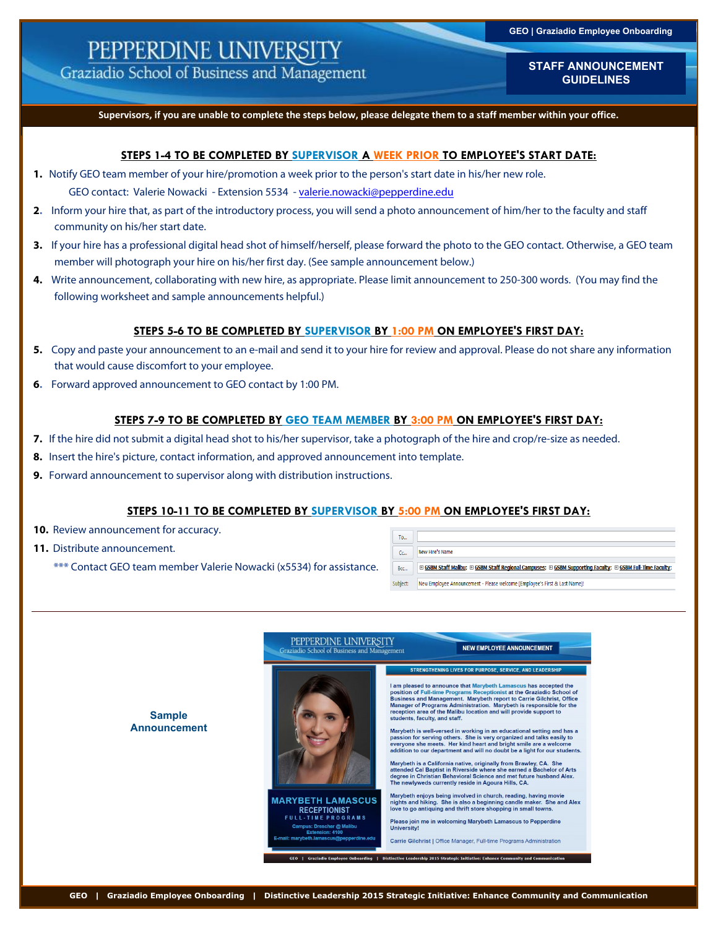# PEPPERDINE UNIVERSITY

Graziadio School of Business and Management

**STAFF ANNOUNCEMENT GUIDELINES**

**Supervisors, if you are unable to complete the steps below, please delegate them to a staff member within your office.** 

#### **STEPS 1-4 TO BE COMPLETED BY SUPERVISOR A WEEK PRIOR TO EMPLOYEE'S START DATE:**

**1.** Notify GEO team member of your hire/promotion a week prior to the person's start date in his/her new role.

GEO contact: Valerie Nowacki - Extension 5534 - valerie.nowacki@pepperdine.edu

- **2.** Inform your hire that, as part of the introductory process, you will send a photo announcement of him/her to the faculty and staff community on his/her start date.
- **3.** If your hire has a professional digital head shot of himself/herself, please forward the photo to the GEO contact. Otherwise, a GEO team member will photograph your hire on his/her first day. (See sample announcement below.)
- **4.** Write announcement, collaborating with new hire, as appropriate. Please limit announcement to 250-300 words. (You may find the following worksheet and sample announcements helpful.)

### **STEPS 5-6 TO BE COMPLETED BY SUPERVISOR BY 1:00 PM ON EMPLOYEE'S FIRST DAY:**

- **5.** Copy and paste your announcement to an e-mail and send it to your hire for review and approval. Please do not share any information that would cause discomfort to your employee.
- **6.** Forward approved announcement to GEO contact by 1:00 PM.

### **STEPS 7-9 TO BE COMPLETED BY GEO TEAM MEMBER BY 3:00 PM ON EMPLOYEE'S FIRST DAY:**

- **7.** If the hire did not submit a digital head shot to his/her supervisor, take a photograph of the hire and crop/re-size as needed.
- **8.** Insert the hire's picture, contact information, and approved announcement into template.
- **9.** Forward announcement to supervisor along with distribution instructions.

## **STEPS 10-11 TO BE COMPLETED BY SUPERVISOR BY 5:00 PM ON EMPLOYEE'S FIRST DAY:**

- 10. Review announcement for accuracy.
- **11.** Distribute announcement.
	- **\*\*\*** Contact GEO team member Valerie Nowacki (x5534) for assistance.

| To       |                                                                                                           |
|----------|-----------------------------------------------------------------------------------------------------------|
| Cc       | New Hire's Name                                                                                           |
| Bcc      | E GSBM Staff Malibu; E GSBM Staff Regional Campuses; E GSBM Supporting Faculty; E GSBM Full-Time Faculty; |
| Subject: | New Employee Announcement - Please welcome [Employee's First & Last Name]!                                |

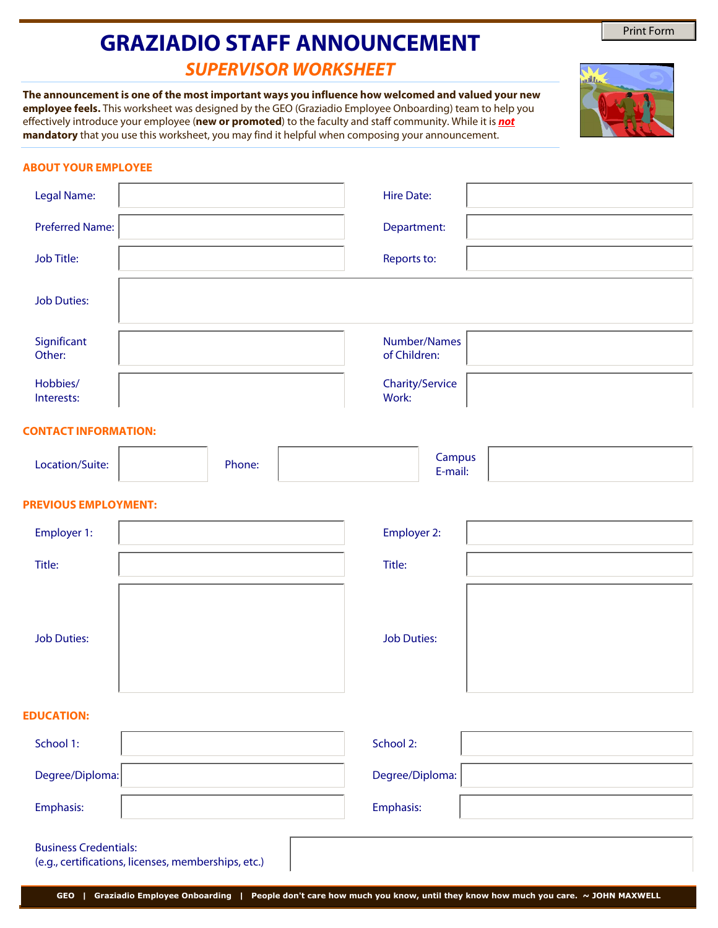# **GRAZIADIO STAFF ANNOUNCEMENT**

## *SUPERVISOR WORKSHEET*

**The announcement is one of the most important ways you influence how welcomed and valued your new employee feels.** This worksheet was designed by the GEO (Graziadio Employee Onboarding) team to help you effectively introduce your employee (**new or promoted**) to the faculty and staff community. While it is *not* **mandatory** that you use this worksheet, you may find it helpful when composing your announcement.

## **ABOUT YOUR EMPLOYEE**

| Legal Name:                 |        | <b>Hire Date:</b>            |  |  |  |
|-----------------------------|--------|------------------------------|--|--|--|
| <b>Preferred Name:</b>      |        | Department:                  |  |  |  |
| Job Title:                  |        | Reports to:                  |  |  |  |
| <b>Job Duties:</b>          |        |                              |  |  |  |
| Significant<br>Other:       |        | Number/Names<br>of Children: |  |  |  |
| Hobbies/<br>Interests:      |        | Charity/Service<br>Work:     |  |  |  |
| <b>CONTACT INFORMATION:</b> |        |                              |  |  |  |
| Location/Suite:             | Phone: | Campus<br>E-mail:            |  |  |  |
| <b>PREVIOUS EMPLOYMENT:</b> |        |                              |  |  |  |
| Employer 1:                 |        | Employer 2:                  |  |  |  |
| Title:                      |        | Title:                       |  |  |  |
|                             |        |                              |  |  |  |
| <b>Job Duties:</b>          |        | <b>Job Duties:</b>           |  |  |  |
| <b>EDUCATION:</b>           |        |                              |  |  |  |

## Business Credentials: (e.g., certifications, licenses, memberships, etc.) Emphasis: Emphasis: Degree/Diploma: School 2: Degree/Diploma: School 1:

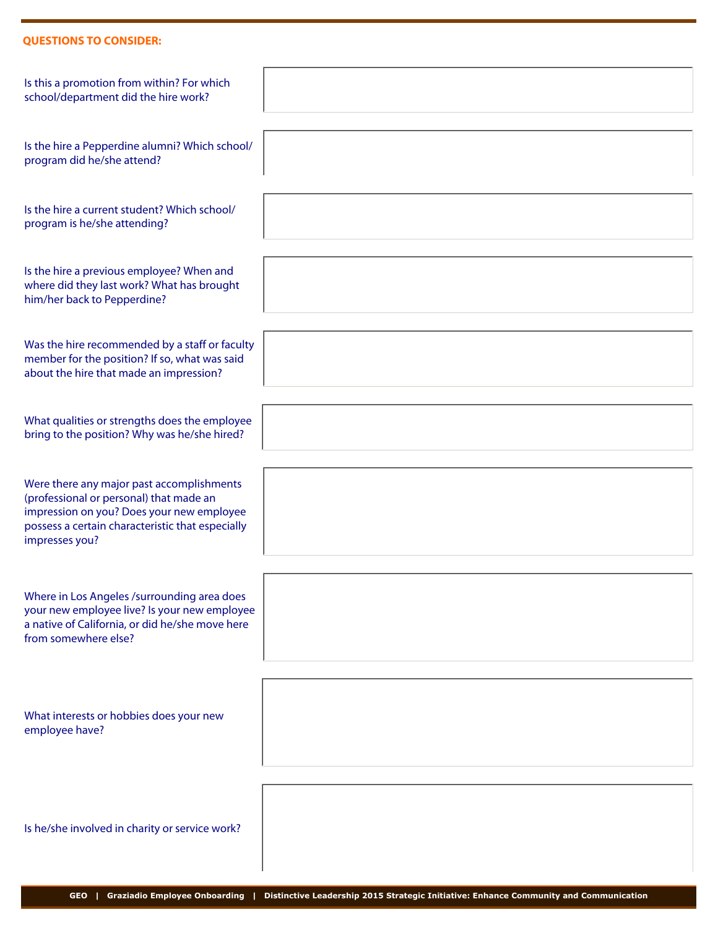## **QUESTIONS TO CONSIDER:**

| Is this a promotion from within? For which<br>school/department did the hire work?                                                                                                                      |  |
|---------------------------------------------------------------------------------------------------------------------------------------------------------------------------------------------------------|--|
| Is the hire a Pepperdine alumni? Which school/<br>program did he/she attend?                                                                                                                            |  |
| Is the hire a current student? Which school/<br>program is he/she attending?                                                                                                                            |  |
| Is the hire a previous employee? When and<br>where did they last work? What has brought<br>him/her back to Pepperdine?                                                                                  |  |
| Was the hire recommended by a staff or faculty<br>member for the position? If so, what was said<br>about the hire that made an impression?                                                              |  |
| What qualities or strengths does the employee<br>bring to the position? Why was he/she hired?                                                                                                           |  |
| Were there any major past accomplishments<br>(professional or personal) that made an<br>impression on you? Does your new employee<br>possess a certain characteristic that especially<br>impresses you? |  |
| Where in Los Angeles /surrounding area does<br>your new employee live? Is your new employee<br>a native of California, or did he/she move here<br>from somewhere else?                                  |  |
| What interests or hobbies does your new<br>employee have?                                                                                                                                               |  |
| Is he/she involved in charity or service work?                                                                                                                                                          |  |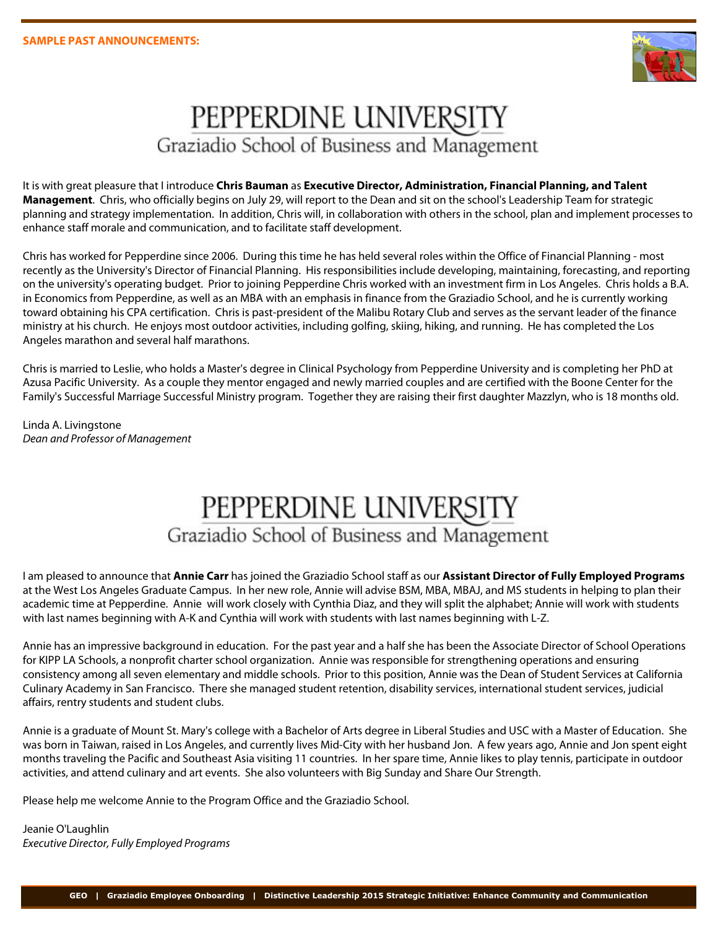

# PEPPERDINE UNIVERSITY Graziadio School of Business and Management

It is with great pleasure that I introduce **Chris Bauman** as **Executive Director, Administration, Financial Planning, and Talent Management**. Chris, who officially begins on July 29, will report to the Dean and sit on the school's Leadership Team for strategic planning and strategy implementation. In addition, Chris will, in collaboration with others in the school, plan and implement processes to enhance staff morale and communication, and to facilitate staff development.

Chris has worked for Pepperdine since 2006. During this time he has held several roles within the Office of Financial Planning - most recently as the University's Director of Financial Planning. His responsibilities include developing, maintaining, forecasting, and reporting on the university's operating budget. Prior to joining Pepperdine Chris worked with an investment firm in Los Angeles. Chris holds a B.A. in Economics from Pepperdine, as well as an MBA with an emphasis in finance from the Graziadio School, and he is currently working toward obtaining his CPA certification. Chris is past-president of the Malibu Rotary Club and serves as the servant leader of the finance ministry at his church. He enjoys most outdoor activities, including golfing, skiing, hiking, and running. He has completed the Los Angeles marathon and several half marathons.

Chris is married to Leslie, who holds a Master's degree in Clinical Psychology from Pepperdine University and is completing her PhD at Azusa Pacific University. As a couple they mentor engaged and newly married couples and are certified with the Boone Center for the Family's Successful Marriage Successful Ministry program. Together they are raising their first daughter Mazzlyn, who is 18 months old.

Linda A. Livingstone *Dean and Professor of Management* 

# PEPPERDINE UNIVERSITY Graziadio School of Business and Management

I am pleased to announce that **Annie Carr** has joined the Graziadio School staff as our **Assistant Director of Fully Employed Programs** at the West Los Angeles Graduate Campus. In her new role, Annie will advise BSM, MBA, MBAJ, and MS students in helping to plan their academic time at Pepperdine. Annie will work closely with Cynthia Diaz, and they will split the alphabet; Annie will work with students with last names beginning with A-K and Cynthia will work with students with last names beginning with L-Z.

Annie has an impressive background in education. For the past year and a half she has been the Associate Director of School Operations for KIPP LA Schools, a nonprofit charter school organization. Annie was responsible for strengthening operations and ensuring consistency among all seven elementary and middle schools. Prior to this position, Annie was the Dean of Student Services at California Culinary Academy in San Francisco. There she managed student retention, disability services, international student services, judicial affairs, rentry students and student clubs.

Annie is a graduate of Mount St. Mary's college with a Bachelor of Arts degree in Liberal Studies and USC with a Master of Education. She was born in Taiwan, raised in Los Angeles, and currently lives Mid-City with her husband Jon. A few years ago, Annie and Jon spent eight months traveling the Pacific and Southeast Asia visiting 11 countries. In her spare time, Annie likes to play tennis, participate in outdoor activities, and attend culinary and art events. She also volunteers with Big Sunday and Share Our Strength.

Please help me welcome Annie to the Program Office and the Graziadio School.

Jeanie O'Laughlin *Executive Director, Fully Employed Programs*